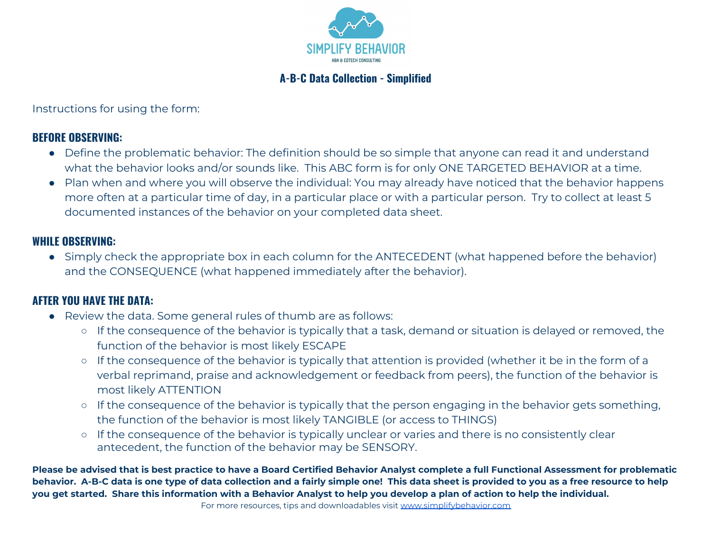

# **A-B-C Data Collection - Simplified**

Instructions for using the form:

### **BEFORE OBSERVING:**

- Define the problematic behavior: The definition should be so simple that anyone can read it and understand what the behavior looks and/or sounds like. This ABC form is for only ONE TARGETED BEHAVIOR at a time.
- Plan when and where you will observe the individual: You may already have noticed that the behavior happens more often at a particular time of day, in a particular place or with a particular person. Try to collect at least 5 documented instances of the behavior on your completed data sheet.

#### **WHILE OBSERVING:**

• Simply check the appropriate box in each column for the ANTECEDENT (what happened before the behavior) and the CONSEQUENCE (what happened immediately after the behavior).

## **AFTER YOU HAVE THE DATA:**

- Review the data. Some general rules of thumb are as follows:
	- If the consequence of the behavior is typically that a task, demand or situation is delayed or removed, the function of the behavior is most likely ESCAPE
	- If the consequence of the behavior is typically that attention is provided (whether it be in the form of a verbal reprimand, praise and acknowledgement or feedback from peers), the function of the behavior is most likely ATTENTION
	- If the consequence of the behavior is typically that the person engaging in the behavior gets something, the function of the behavior is most likely TANGIBLE (or access to THINGS)
	- If the consequence of the behavior is typically unclear or varies and there is no consistently clear antecedent, the function of the behavior may be SENSORY.

**Please be advised that is best practice to have a Board Certified Behavior Analyst complete a full Functional Assessment for problematic behavior. A-B-C data is one type of data collection and a fairly simple one! This data sheet is provided to you as a free resource to help you get started. Share this information with a Behavior Analyst to help you develop a plan of action to help the individual.**